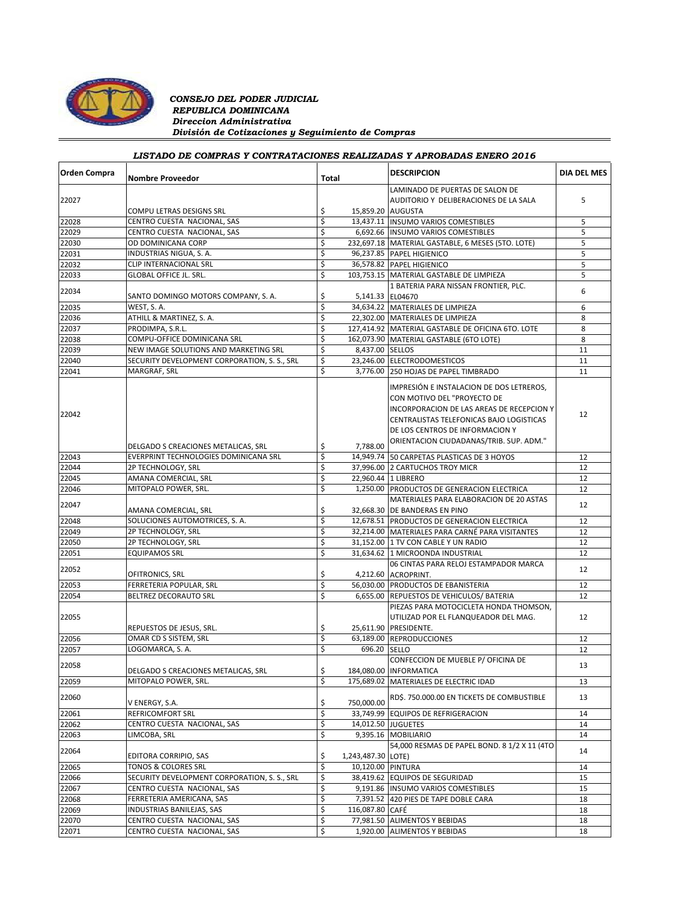

### *CONSEJO DEL PODER JUDICIAL REPUBLICA DOMINICANA Direccion Administrativa División de Cotizaciones y Seguimiento de Compras*

# *LISTADO DE COMPRAS Y CONTRATACIONES REALIZADAS Y APROBADAS ENERO 2016*

| <b>Orden Compra</b> | <b>Nombre Proveedor</b>                      | Total |                    | <b>DESCRIPCION</b>                                                                                                                                                                                                                             | <b>DIA DEL MES</b> |
|---------------------|----------------------------------------------|-------|--------------------|------------------------------------------------------------------------------------------------------------------------------------------------------------------------------------------------------------------------------------------------|--------------------|
|                     |                                              |       |                    | LAMINADO DE PUERTAS DE SALON DE                                                                                                                                                                                                                |                    |
| 22027               |                                              |       |                    | AUDITORIO Y DELIBERACIONES DE LA SALA                                                                                                                                                                                                          | 5                  |
|                     | COMPU LETRAS DESIGNS SRL                     | \$    | 15,859.20 AUGUSTA  |                                                                                                                                                                                                                                                |                    |
| 22028               | CENTRO CUESTA NACIONAL, SAS                  | \$    |                    | 13,437.11  INSUMO VARIOS COMESTIBLES                                                                                                                                                                                                           | 5                  |
| 22029               | CENTRO CUESTA NACIONAL, SAS                  | \$    |                    | 6,692.66 INSUMO VARIOS COMESTIBLES                                                                                                                                                                                                             | 5                  |
| 22030               | OD DOMINICANA CORP                           | \$    |                    | 232,697.18 MATERIAL GASTABLE, 6 MESES (5TO. LOTE)                                                                                                                                                                                              | 5                  |
| 22031               | INDUSTRIAS NIGUA, S. A.                      | \$    |                    | 96,237.85 PAPEL HIGIENICO                                                                                                                                                                                                                      | 5                  |
| 22032               | CLIP INTERNACIONAL SRL                       | \$    |                    | 36,578.82 PAPEL HIGIENICO                                                                                                                                                                                                                      | 5                  |
| 22033               | <b>GLOBAL OFFICE JL. SRL.</b>                | \$    |                    | 103,753.15 MATERIAL GASTABLE DE LIMPIEZA                                                                                                                                                                                                       | 5                  |
|                     |                                              |       |                    | 1 BATERIA PARA NISSAN FRONTIER, PLC.                                                                                                                                                                                                           | 6                  |
| 22034               | SANTO DOMINGO MOTORS COMPANY, S. A.          | \$    | 5,141.33 EL04670   |                                                                                                                                                                                                                                                |                    |
| 22035               | WEST, S. A.                                  | \$    |                    | 34,634.22 MATERIALES DE LIMPIEZA                                                                                                                                                                                                               | 6                  |
| 22036               | ATHILL & MARTINEZ, S. A.                     | \$    |                    | 22,302.00 MATERIALES DE LIMPIEZA                                                                                                                                                                                                               | 8                  |
| 22037               | PRODIMPA, S.R.L.                             | \$    |                    | 127,414.92 MATERIAL GASTABLE DE OFICINA 6TO. LOTE                                                                                                                                                                                              | 8                  |
| 22038               | COMPU-OFFICE DOMINICANA SRL                  | \$    |                    | 162,073.90 MATERIAL GASTABLE (6TO LOTE)                                                                                                                                                                                                        | 8                  |
| 22039               | NEW IMAGE SOLUTIONS AND MARKETING SRL        | \$    | 8,437.00 SELLOS    |                                                                                                                                                                                                                                                | 11                 |
| 22040               | SECURITY DEVELOPMENT CORPORATION, S. S., SRL | \$    |                    | 23,246.00 ELECTRODOMESTICOS                                                                                                                                                                                                                    | 11                 |
| 22041               | MARGRAF, SRL                                 | \$    | 3,776.00           | 250 HOJAS DE PAPEL TIMBRADO                                                                                                                                                                                                                    | 11                 |
| 22042               |                                              | \$    | 7,788.00           | IMPRESIÓN E INSTALACION DE DOS LETREROS,<br>CON MOTIVO DEL "PROYECTO DE<br>INCORPORACION DE LAS AREAS DE RECEPCION Y<br>CENTRALISTAS TELEFONICAS BAJO LOGISTICAS<br>DE LOS CENTROS DE INFORMACION Y<br>ORIENTACION CIUDADANAS/TRIB. SUP. ADM." | 12                 |
|                     | DELGADO S CREACIONES METALICAS, SRL          |       |                    |                                                                                                                                                                                                                                                |                    |
| 22043               | EVERPRINT TECHNOLOGIES DOMINICANA SRL        | \$    |                    | 14,949.74 50 CARPETAS PLASTICAS DE 3 HOYOS                                                                                                                                                                                                     | 12                 |
| 22044               | 2P TECHNOLOGY, SRL                           | \$    |                    | 37,996.00 2 CARTUCHOS TROY MICR                                                                                                                                                                                                                | 12                 |
| 22045               | AMANA COMERCIAL, SRL                         | \$    |                    | 22,960.44 1 LIBRERO                                                                                                                                                                                                                            | 12                 |
| 22046               | MITOPALO POWER, SRL.                         | \$    |                    | 1,250.00 PRODUCTOS DE GENERACION ELECTRICA                                                                                                                                                                                                     | 12                 |
| 22047               |                                              |       |                    | MATERIALES PARA ELABORACION DE 20 ASTAS                                                                                                                                                                                                        | 12                 |
|                     | AMANA COMERCIAL, SRL                         | \$    |                    | 32,668.30 DE BANDERAS EN PINO                                                                                                                                                                                                                  |                    |
| 22048               | SOLUCIONES AUTOMOTRICES, S. A.               | \$    |                    | 12,678.51 PRODUCTOS DE GENERACION ELECTRICA                                                                                                                                                                                                    | 12                 |
| 22049               | 2P TECHNOLOGY, SRL                           | \$    |                    | 32,214.00 MATERIALES PARA CARNÉ PARA VISITANTES                                                                                                                                                                                                | 12                 |
| 22050               | 2P TECHNOLOGY, SRL                           | \$    |                    | 31,152.00 1 TV CON CABLE Y UN RADIO                                                                                                                                                                                                            | 12                 |
| 22051               | <b>EQUIPAMOS SRL</b>                         | \$    |                    | 31,634.62 1 MICROONDA INDUSTRIAL                                                                                                                                                                                                               | 12                 |
| 22052               |                                              |       |                    | 06 CINTAS PARA RELOJ ESTAMPADOR MARCA                                                                                                                                                                                                          | 12                 |
|                     | OFITRONICS, SRL                              | \$    |                    | 4,212.60 ACROPRINT.                                                                                                                                                                                                                            |                    |
| 22053               | FERRETERIA POPULAR, SRL                      | \$    |                    | 56,030.00 PRODUCTOS DE EBANISTERIA                                                                                                                                                                                                             | 12                 |
| 22054               | BELTREZ DECORAUTO SRL                        | \$    |                    | 6,655.00 REPUESTOS DE VEHICULOS/ BATERIA                                                                                                                                                                                                       | 12                 |
| 22055               | REPUESTOS DE JESUS, SRL.                     | \$    |                    | PIEZAS PARA MOTOCICLETA HONDA THOMSON,<br>UTILIZAD POR EL FLANQUEADOR DEL MAG.<br>25,611.90 PRESIDENTE.                                                                                                                                        | 12                 |
| 22056               | OMAR CD S SISTEM, SRL                        | \$    |                    | 63,189.00 REPRODUCCIONES                                                                                                                                                                                                                       | 12                 |
| 22057               | LOGOMARCA, S. A.                             | \$    | 696.20 SELLO       |                                                                                                                                                                                                                                                | 12                 |
|                     |                                              |       |                    | CONFECCION DE MUEBLE P/ OFICINA DE                                                                                                                                                                                                             |                    |
| 22058               | DELGADO S CREACIONES METALICAS, SRL          | \$    |                    | 184,080.00 INFORMATICA                                                                                                                                                                                                                         | 13                 |
| 22059               | MITOPALO POWER, SRL.                         | Ş     |                    | 175,689.02 MATERIALES DE ELECTRIC IDAD                                                                                                                                                                                                         | 13                 |
| 22060               | V ENERGY, S.A.                               | \$    | 750,000.00         | RD\$. 750.000.00 EN TICKETS DE COMBUSTIBLE                                                                                                                                                                                                     | 13                 |
| 22061               | <b>REFRICOMFORT SRL</b>                      | \$    |                    | 33,749.99 EQUIPOS DE REFRIGERACION                                                                                                                                                                                                             | 14                 |
| 22062               | CENTRO CUESTA NACIONAL, SAS                  | \$    |                    | 14,012.50 JUGUETES                                                                                                                                                                                                                             | 14                 |
| 22063               | LIMCOBA, SRL                                 | \$    |                    | 9,395.16 MOBILIARIO                                                                                                                                                                                                                            | 14                 |
| 22064               | EDITORA CORRIPIO, SAS                        | \$    | 1,243,487.30 LOTE) | 54,000 RESMAS DE PAPEL BOND. 8 1/2 X 11 (4TO                                                                                                                                                                                                   | 14                 |
| 22065               | TONOS & COLORES SRL                          | \$    | 10,120.00 PINTURA  |                                                                                                                                                                                                                                                | 14                 |
| 22066               | SECURITY DEVELOPMENT CORPORATION, S. S., SRL | \$    |                    | 38,419.62 EQUIPOS DE SEGURIDAD                                                                                                                                                                                                                 | 15                 |
| 22067               | CENTRO CUESTA NACIONAL, SAS                  | \$    |                    | 9,191.86 INSUMO VARIOS COMESTIBLES                                                                                                                                                                                                             | 15                 |
| 22068               | FERRETERIA AMERICANA, SAS                    | \$    |                    | 7,391.52 420 PIES DE TAPE DOBLE CARA                                                                                                                                                                                                           | 18                 |
| 22069               | INDUSTRIAS BANILEJAS, SAS                    | \$    | 116,087.80 CAFÉ    |                                                                                                                                                                                                                                                | 18                 |
| 22070               | CENTRO CUESTA NACIONAL, SAS                  | \$    |                    | 77,981.50 ALIMENTOS Y BEBIDAS                                                                                                                                                                                                                  | 18                 |
| 22071               | CENTRO CUESTA NACIONAL, SAS                  | \$    | 1,920.00           | ALIMENTOS Y BEBIDAS                                                                                                                                                                                                                            | 18                 |
|                     |                                              |       |                    |                                                                                                                                                                                                                                                |                    |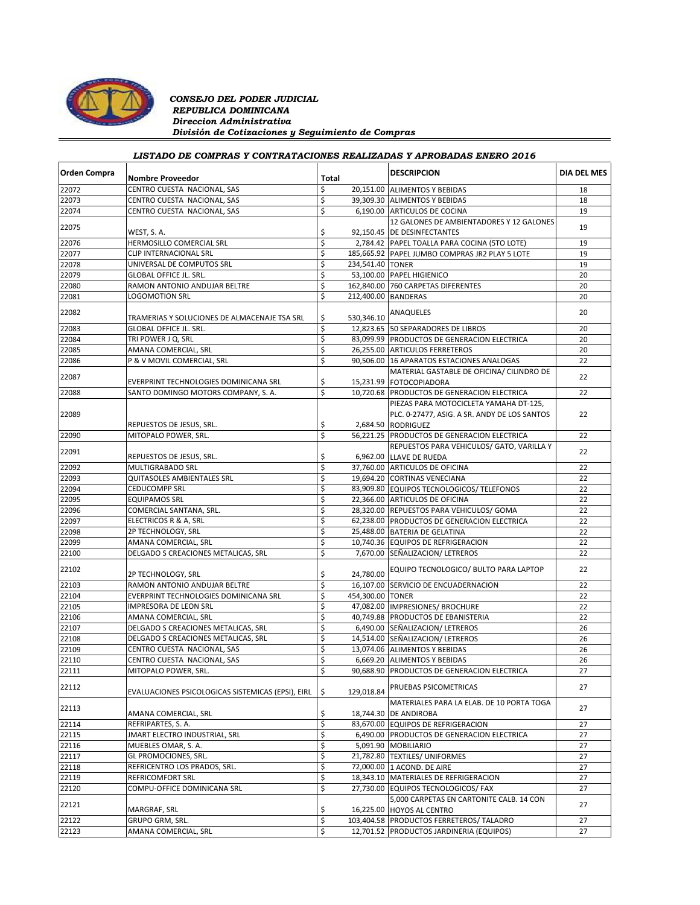

### *CONSEJO DEL PODER JUDICIAL REPUBLICA DOMINICANA Direccion Administrativa División de Cotizaciones y Seguimiento de Compras*

# *LISTADO DE COMPRAS Y CONTRATACIONES REALIZADAS Y APROBADAS ENERO 2016*

| <b>Orden Compra</b> | <b>Nombre Proveedor</b>                           | Total |            | <b>DESCRIPCION</b>                                                 | <b>DIA DEL MES</b> |
|---------------------|---------------------------------------------------|-------|------------|--------------------------------------------------------------------|--------------------|
| 22072               | CENTRO CUESTA NACIONAL, SAS                       | \$    |            | 20,151.00 ALIMENTOS Y BEBIDAS                                      | 18                 |
| 22073               | CENTRO CUESTA NACIONAL, SAS                       | \$    |            | 39,309.30 ALIMENTOS Y BEBIDAS                                      | 18                 |
| 22074               | CENTRO CUESTA NACIONAL, SAS                       | \$    |            | 6,190.00 ARTICULOS DE COCINA                                       | 19                 |
|                     |                                                   |       |            | 12 GALONES DE AMBIENTADORES Y 12 GALONES                           | 19                 |
| 22075               | WEST, S.A.                                        | \$    |            | 92,150.45 DE DESINFECTANTES                                        |                    |
| 22076               | HERMOSILLO COMERCIAL SRL                          | \$    |            | 2,784.42 PAPEL TOALLA PARA COCINA (5TO LOTE)                       | 19                 |
| 22077               | CLIP INTERNACIONAL SRL                            | \$    |            | 185,665.92 PAPEL JUMBO COMPRAS JR2 PLAY 5 LOTE                     | 19                 |
| 22078               | UNIVERSAL DE COMPUTOS SRL                         | \$    |            | 234,541.40 TONER                                                   | 19                 |
| 22079               | <b>GLOBAL OFFICE JL. SRL.</b>                     | \$    |            | 53,100.00 PAPEL HIGIENICO                                          | 20                 |
| 22080               | RAMON ANTONIO ANDUJAR BELTRE                      | \$    |            | 162,840.00 760 CARPETAS DIFERENTES                                 | 20                 |
| 22081               | LOGOMOTION SRL                                    | \$    |            | 212,400.00 BANDERAS                                                | 20                 |
| 22082               | TRAMERIAS Y SOLUCIONES DE ALMACENAJE TSA SRL      | \$    | 530,346.10 | ANAQUELES                                                          | 20                 |
| 22083               | <b>GLOBAL OFFICE JL. SRL.</b>                     | \$    |            | 12,823.65 50 SEPARADORES DE LIBROS                                 | 20                 |
| 22084               | TRI POWER J Q, SRL                                | \$    |            | 83,099.99 PRODUCTOS DE GENERACION ELECTRICA                        | 20                 |
| 22085               | AMANA COMERCIAL, SRL                              | \$    |            | 26,255.00 ARTICULOS FERRETEROS                                     | 20                 |
| 22086               | P & V MOVIL COMERCIAL, SRL                        | \$    |            | 90,506.00 16 APARATOS ESTACIONES ANALOGAS                          | 22                 |
|                     |                                                   |       |            | MATERIAL GASTABLE DE OFICINA/ CILINDRO DE                          |                    |
| 22087               | EVERPRINT TECHNOLOGIES DOMINICANA SRL             | \$    |            | 15,231.99 FOTOCOPIADORA                                            | 22                 |
| 22088               | SANTO DOMINGO MOTORS COMPANY. S. A.               | \$    |            | 10,720.68 PRODUCTOS DE GENERACION ELECTRICA                        | 22                 |
|                     |                                                   |       |            | PIEZAS PARA MOTOCICLETA YAMAHA DT-125,                             |                    |
| 22089               |                                                   |       |            | PLC. 0-27477, ASIG. A SR. ANDY DE LOS SANTOS                       | 22                 |
|                     | REPUESTOS DE JESUS, SRL.                          | \$    |            | 2.684.50 RODRIGUEZ                                                 |                    |
| 22090               | MITOPALO POWER, SRL.                              | \$    |            | 56,221.25 PRODUCTOS DE GENERACION ELECTRICA                        | 22                 |
|                     |                                                   |       |            | REPUESTOS PARA VEHICULOS/ GATO, VARILLA Y                          |                    |
| 22091               | REPUESTOS DE JESUS, SRL.                          | \$    |            | 6,962.00 LLAVE DE RUEDA                                            | 22                 |
| 22092               | MULTIGRABADO SRL                                  | \$    |            | 37.760.00 ARTICULOS DE OFICINA                                     | 22                 |
| 22093               | <b>QUITASOLES AMBIENTALES SRL</b>                 | \$    |            | 19,694.20 CORTINAS VENECIANA                                       | 22                 |
| 22094               | <b>CEDUCOMPP SRL</b>                              | \$    |            | 83,909.80 EQUIPOS TECNOLOGICOS/ TELEFONOS                          | 22                 |
| 22095               | <b>EQUIPAMOS SRL</b>                              | \$    |            | 22,366.00 ARTICULOS DE OFICINA                                     | 22                 |
| 22096               | COMERCIAL SANTANA, SRL.                           | \$    |            | 28,320.00 REPUESTOS PARA VEHICULOS/ GOMA                           | 22                 |
| 22097               | ELECTRICOS R & A, SRL                             | \$    |            | 62,238.00 PRODUCTOS DE GENERACION ELECTRICA                        | 22                 |
| 22098               | 2P TECHNOLOGY, SRL                                | \$    |            | 25,488.00 BATERIA DE GELATINA                                      | 22                 |
| 22099               | AMANA COMERCIAL, SRL                              | \$    |            | 10,740.36 EQUIPOS DE REFRIGERACION                                 | 22                 |
| 22100               | DELGADO S CREACIONES METALICAS, SRL               | \$    |            | 7,670.00 SEÑALIZACION/ LETREROS                                    | 22                 |
|                     |                                                   |       |            |                                                                    |                    |
| 22102               | 2P TECHNOLOGY, SRL                                | \$    | 24,780.00  | EQUIPO TECNOLOGICO/ BULTO PARA LAPTOP                              | 22                 |
| 22103               | RAMON ANTONIO ANDUJAR BELTRE                      | \$    |            | 16,107.00 SERVICIO DE ENCUADERNACION                               | 22                 |
| 22104               | EVERPRINT TECHNOLOGIES DOMINICANA SRL             | \$    |            | 454,300.00 TONER                                                   | 22                 |
| 22105               | IMPRESORA DE LEON SRL                             | \$    |            | 47,082.00 IMPRESIONES/ BROCHURE                                    | 22                 |
| 22106               | AMANA COMERCIAL, SRL                              | \$    |            | 40,749.88 PRODUCTOS DE EBANISTERIA                                 | 22                 |
| 22107               | DELGADO S CREACIONES METALICAS, SRL               | \$    |            | 6,490.00 SEÑALIZACION/ LETREROS                                    | 26                 |
| 22108               | DELGADO S CREACIONES METALICAS, SRL               | \$    |            | 14,514.00 SEÑALIZACION/ LETREROS                                   | 26                 |
| 22109               | CENTRO CUESTA NACIONAL, SAS                       | \$    |            | 13,074.06 ALIMENTOS Y BEBIDAS                                      | 26                 |
| 22110               | CENTRO CUESTA NACIONAL, SAS                       | \$    |            | 6,669.20 ALIMENTOS Y BEBIDAS                                       | 26                 |
| 22111               | MITOPALO POWER, SRL.                              | \$    |            | 90,688.90 PRODUCTOS DE GENERACION ELECTRICA                        | 27                 |
| 22112               | EVALUACIONES PSICOLOGICAS SISTEMICAS (EPSI), EIRL | \$    | 129,018.84 | PRUEBAS PSICOMETRICAS                                              | 27                 |
| 22113               | AMANA COMERCIAL, SRL                              | \$    |            | MATERIALES PARA LA ELAB. DE 10 PORTA TOGA<br>18,744.30 DE ANDIROBA | 27                 |
| 22114               | REFRIPARTES, S. A.                                | \$    |            | 83,670.00 EQUIPOS DE REFRIGERACION                                 | 27                 |
| 22115               | JMART ELECTRO INDUSTRIAL, SRL                     | \$    |            | 6,490.00 PRODUCTOS DE GENERACION ELECTRICA                         | 27                 |
| 22116               | MUEBLES OMAR, S. A.                               | \$    |            | 5,091.90 MOBILIARIO                                                | 27                 |
| 22117               | GL PROMOCIONES, SRL.                              | \$    |            | 21,782.80 TEXTILES/ UNIFORMES                                      | 27                 |
| 22118               | REFRICENTRO LOS PRADOS, SRL.                      | \$    |            | 72,000.00 1 ACOND. DE AIRE                                         | 27                 |
| 22119               | REFRICOMFORT SRL                                  | \$    |            | 18,343.10 MATERIALES DE REFRIGERACION                              | 27                 |
| 22120               | COMPU-OFFICE DOMINICANA SRL                       | \$    |            | 27,730.00 EQUIPOS TECNOLOGICOS/ FAX                                | 27                 |
| 22121               |                                                   |       |            | 5,000 CARPETAS EN CARTONITE CALB. 14 CON                           | 27                 |
|                     | MARGRAF, SRL                                      | \$    |            | 16,225.00 HOYOS AL CENTRO                                          |                    |
| 22122               | GRUPO GRM, SRL.                                   | \$    |            | 103,404.58 PRODUCTOS FERRETEROS/ TALADRO                           | 27                 |
| 22123               | AMANA COMERCIAL, SRL                              | \$    |            | 12,701.52 PRODUCTOS JARDINERIA (EQUIPOS)                           | 27                 |